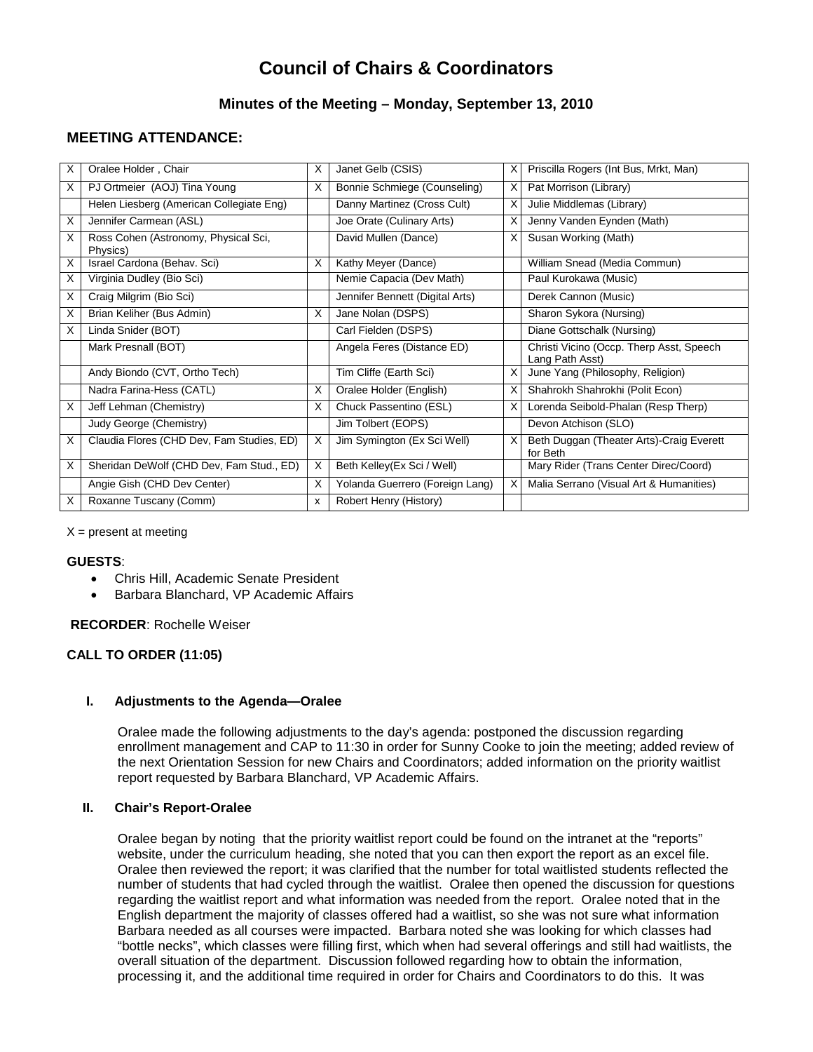# **Council of Chairs & Coordinators**

# **Minutes of the Meeting – Monday, September 13, 2010**

# **MEETING ATTENDANCE:**

| X | Oralee Holder, Chair                             | X            | Janet Gelb (CSIS)               | X | Priscilla Rogers (Int Bus, Mrkt, Man)                       |
|---|--------------------------------------------------|--------------|---------------------------------|---|-------------------------------------------------------------|
| X | PJ Ortmeier (AOJ) Tina Young                     | X            | Bonnie Schmiege (Counseling)    | X | Pat Morrison (Library)                                      |
|   | Helen Liesberg (American Collegiate Eng)         |              | Danny Martinez (Cross Cult)     | X | Julie Middlemas (Library)                                   |
| X | Jennifer Carmean (ASL)                           |              | Joe Orate (Culinary Arts)       | X | Jenny Vanden Eynden (Math)                                  |
| X | Ross Cohen (Astronomy, Physical Sci,<br>Physics) |              | David Mullen (Dance)            | X | Susan Working (Math)                                        |
| X | Israel Cardona (Behav. Sci)                      | X            | Kathy Meyer (Dance)             |   | William Snead (Media Commun)                                |
| X | Virginia Dudley (Bio Sci)                        |              | Nemie Capacia (Dev Math)        |   | Paul Kurokawa (Music)                                       |
| X | Craig Milgrim (Bio Sci)                          |              | Jennifer Bennett (Digital Arts) |   | Derek Cannon (Music)                                        |
| X | Brian Keliher (Bus Admin)                        | X            | Jane Nolan (DSPS)               |   | Sharon Sykora (Nursing)                                     |
| X | Linda Snider (BOT)                               |              | Carl Fielden (DSPS)             |   | Diane Gottschalk (Nursing)                                  |
|   | Mark Presnall (BOT)                              |              | Angela Feres (Distance ED)      |   | Christi Vicino (Occp. Therp Asst, Speech<br>Lang Path Asst) |
|   | Andy Biondo (CVT, Ortho Tech)                    |              | Tim Cliffe (Earth Sci)          | X | June Yang (Philosophy, Religion)                            |
|   | Nadra Farina-Hess (CATL)                         | X            | Oralee Holder (English)         | X | Shahrokh Shahrokhi (Polit Econ)                             |
| х | Jeff Lehman (Chemistry)                          | X            | Chuck Passentino (ESL)          | X | Lorenda Seibold-Phalan (Resp Therp)                         |
|   | Judy George (Chemistry)                          |              | Jim Tolbert (EOPS)              |   | Devon Atchison (SLO)                                        |
| X | Claudia Flores (CHD Dev, Fam Studies, ED)        | X            | Jim Symington (Ex Sci Well)     | X | Beth Duggan (Theater Arts)-Craig Everett<br>for Beth        |
| X | Sheridan DeWolf (CHD Dev, Fam Stud., ED)         | X            | Beth Kelley(Ex Sci / Well)      |   | Mary Rider (Trans Center Direc/Coord)                       |
|   | Angie Gish (CHD Dev Center)                      | X            | Yolanda Guerrero (Foreign Lang) | X | Malia Serrano (Visual Art & Humanities)                     |
| X | Roxanne Tuscany (Comm)                           | $\mathsf{x}$ | Robert Henry (History)          |   |                                                             |

 $X =$  present at meeting

# **GUESTS**:

- Chris Hill, Academic Senate President
- Barbara Blanchard, VP Academic Affairs

# **RECORDER**: Rochelle Weiser

# **CALL TO ORDER (11:05)**

# **I. Adjustments to the Agenda—Oralee**

Oralee made the following adjustments to the day's agenda: postponed the discussion regarding enrollment management and CAP to 11:30 in order for Sunny Cooke to join the meeting; added review of the next Orientation Session for new Chairs and Coordinators; added information on the priority waitlist report requested by Barbara Blanchard, VP Academic Affairs.

# **II. Chair's Report-Oralee**

Oralee began by noting that the priority waitlist report could be found on the intranet at the "reports" website, under the curriculum heading, she noted that you can then export the report as an excel file. Oralee then reviewed the report; it was clarified that the number for total waitlisted students reflected the number of students that had cycled through the waitlist. Oralee then opened the discussion for questions regarding the waitlist report and what information was needed from the report. Oralee noted that in the English department the majority of classes offered had a waitlist, so she was not sure what information Barbara needed as all courses were impacted. Barbara noted she was looking for which classes had "bottle necks", which classes were filling first, which when had several offerings and still had waitlists, the overall situation of the department. Discussion followed regarding how to obtain the information, processing it, and the additional time required in order for Chairs and Coordinators to do this. It was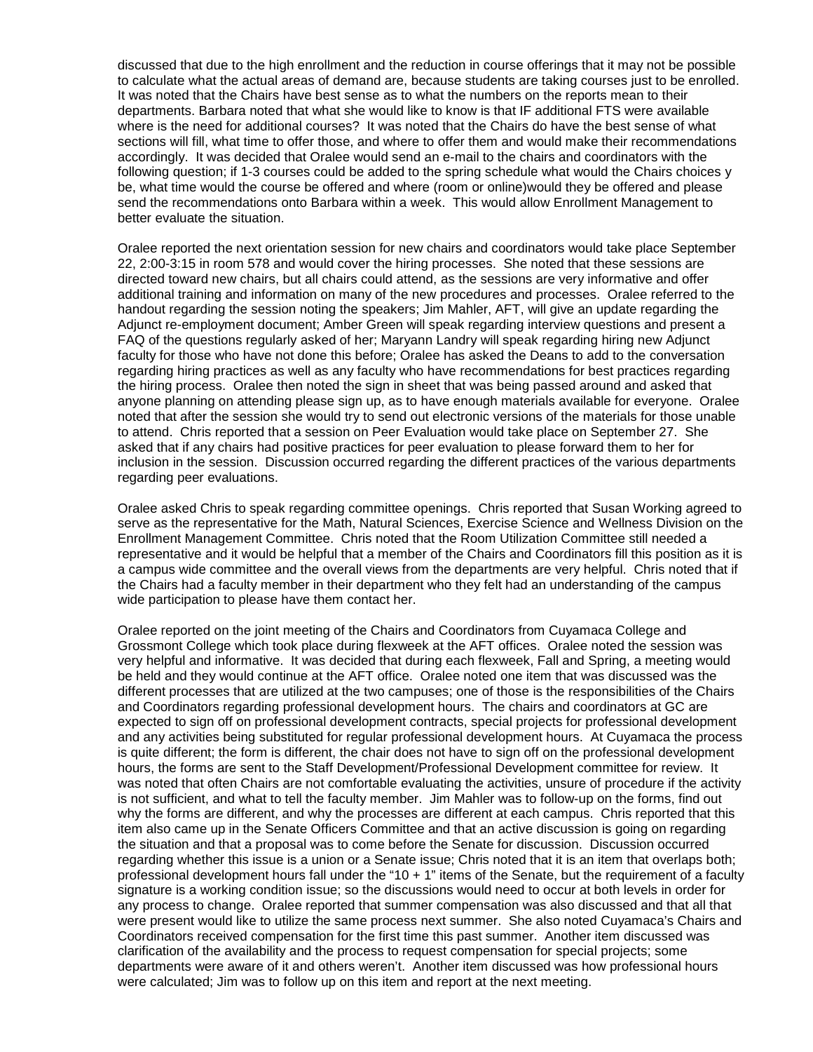discussed that due to the high enrollment and the reduction in course offerings that it may not be possible to calculate what the actual areas of demand are, because students are taking courses just to be enrolled. It was noted that the Chairs have best sense as to what the numbers on the reports mean to their departments. Barbara noted that what she would like to know is that IF additional FTS were available where is the need for additional courses? It was noted that the Chairs do have the best sense of what sections will fill, what time to offer those, and where to offer them and would make their recommendations accordingly. It was decided that Oralee would send an e-mail to the chairs and coordinators with the following question; if 1-3 courses could be added to the spring schedule what would the Chairs choices y be, what time would the course be offered and where (room or online)would they be offered and please send the recommendations onto Barbara within a week. This would allow Enrollment Management to better evaluate the situation.

Oralee reported the next orientation session for new chairs and coordinators would take place September 22, 2:00-3:15 in room 578 and would cover the hiring processes. She noted that these sessions are directed toward new chairs, but all chairs could attend, as the sessions are very informative and offer additional training and information on many of the new procedures and processes. Oralee referred to the handout regarding the session noting the speakers; Jim Mahler, AFT, will give an update regarding the Adjunct re-employment document; Amber Green will speak regarding interview questions and present a FAQ of the questions regularly asked of her; Maryann Landry will speak regarding hiring new Adjunct faculty for those who have not done this before; Oralee has asked the Deans to add to the conversation regarding hiring practices as well as any faculty who have recommendations for best practices regarding the hiring process. Oralee then noted the sign in sheet that was being passed around and asked that anyone planning on attending please sign up, as to have enough materials available for everyone. Oralee noted that after the session she would try to send out electronic versions of the materials for those unable to attend. Chris reported that a session on Peer Evaluation would take place on September 27. She asked that if any chairs had positive practices for peer evaluation to please forward them to her for inclusion in the session. Discussion occurred regarding the different practices of the various departments regarding peer evaluations.

Oralee asked Chris to speak regarding committee openings. Chris reported that Susan Working agreed to serve as the representative for the Math, Natural Sciences, Exercise Science and Wellness Division on the Enrollment Management Committee. Chris noted that the Room Utilization Committee still needed a representative and it would be helpful that a member of the Chairs and Coordinators fill this position as it is a campus wide committee and the overall views from the departments are very helpful. Chris noted that if the Chairs had a faculty member in their department who they felt had an understanding of the campus wide participation to please have them contact her.

Oralee reported on the joint meeting of the Chairs and Coordinators from Cuyamaca College and Grossmont College which took place during flexweek at the AFT offices. Oralee noted the session was very helpful and informative. It was decided that during each flexweek, Fall and Spring, a meeting would be held and they would continue at the AFT office. Oralee noted one item that was discussed was the different processes that are utilized at the two campuses; one of those is the responsibilities of the Chairs and Coordinators regarding professional development hours. The chairs and coordinators at GC are expected to sign off on professional development contracts, special projects for professional development and any activities being substituted for regular professional development hours. At Cuyamaca the process is quite different; the form is different, the chair does not have to sign off on the professional development hours, the forms are sent to the Staff Development/Professional Development committee for review. It was noted that often Chairs are not comfortable evaluating the activities, unsure of procedure if the activity is not sufficient, and what to tell the faculty member. Jim Mahler was to follow-up on the forms, find out why the forms are different, and why the processes are different at each campus. Chris reported that this item also came up in the Senate Officers Committee and that an active discussion is going on regarding the situation and that a proposal was to come before the Senate for discussion. Discussion occurred regarding whether this issue is a union or a Senate issue; Chris noted that it is an item that overlaps both; professional development hours fall under the "10 + 1" items of the Senate, but the requirement of a faculty signature is a working condition issue; so the discussions would need to occur at both levels in order for any process to change. Oralee reported that summer compensation was also discussed and that all that were present would like to utilize the same process next summer. She also noted Cuyamaca's Chairs and Coordinators received compensation for the first time this past summer. Another item discussed was clarification of the availability and the process to request compensation for special projects; some departments were aware of it and others weren't. Another item discussed was how professional hours were calculated; Jim was to follow up on this item and report at the next meeting.